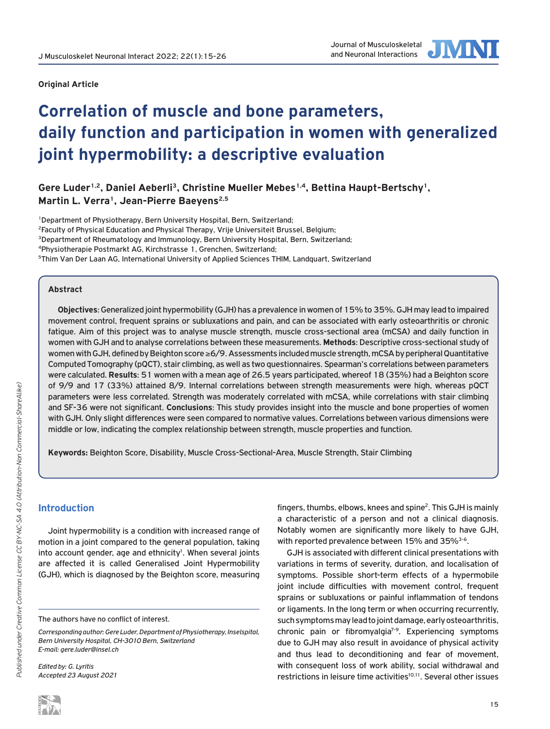# **Original Article**



# **Correlation of muscle and bone parameters, daily function and participation in women with generalized joint hypermobility: a descriptive evaluation**

Gere Luder<sup>1,2</sup>, Daniel Aeberli<sup>3</sup>, Christine Mueller Mebes<sup>1,4</sup>, Bettina Haupt-Bertschy<sup>1</sup>, Martin L. Verra<sup>1</sup>, Jean-Pierre Baeyens<sup>2,5</sup>

1Department of Physiotherapy, Bern University Hospital, Bern, Switzerland;

2Faculty of Physical Education and Physical Therapy, Vrije Universiteit Brussel, Belgium;

3Department of Rheumatology and Immunology, Bern University Hospital, Bern, Switzerland;

4Physiotherapie Postmarkt AG, Kirchstrasse 1, Grenchen, Switzerland;

5Thim Van Der Laan AG, International University of Applied Sciences THIM, Landquart, Switzerland

# **Abstract**

**Objectives**: Generalized joint hypermobility (GJH) has a prevalence in women of 15% to 35%. GJH may lead to impaired movement control, frequent sprains or subluxations and pain, and can be associated with early osteoarthritis or chronic fatigue. Aim of this project was to analyse muscle strength, muscle cross-sectional area (mCSA) and daily function in women with GJH and to analyse correlations between these measurements. **Methods**: Descriptive cross-sectional study of women with GJH, defined by Beighton score ≥6/9. Assessments included muscle strength, mCSA by peripheral Quantitative Computed Tomography (pQCT), stair climbing, as well as two questionnaires. Spearman's correlations between parameters were calculated. **Results**: 51 women with a mean age of 26.5 years participated, whereof 18 (35%) had a Beighton score of 9/9 and 17 (33%) attained 8/9. Internal correlations between strength measurements were high, whereas pQCT parameters were less correlated. Strength was moderately correlated with mCSA, while correlations with stair climbing and SF-36 were not significant. **Conclusions**: This study provides insight into the muscle and bone properties of women with GJH. Only slight differences were seen compared to normative values. Correlations between various dimensions were middle or low, indicating the complex relationship between strength, muscle properties and function.

**Keywords:** Beighton Score, Disability, Muscle Cross-Sectional-Area, Muscle Strength, Stair Climbing

# **Introduction**

Joint hypermobility is a condition with increased range of motion in a joint compared to the general population, taking into account gender, age and ethnicity<sup>1</sup>. When several joints are affected it is called Generalised Joint Hypermobility (GJH), which is diagnosed by the Beighton score, measuring

*Edited by: G. Lyritis Accepted 23 August 2021* fingers, thumbs, elbows, knees and spine<sup>2</sup>. This GJH is mainly a characteristic of a person and not a clinical diagnosis. Notably women are significantly more likely to have GJH, with reported prevalence between 15% and 35%<sup>3-6</sup>.

GJH is associated with different clinical presentations with variations in terms of severity, duration, and localisation of symptoms. Possible short-term effects of a hypermobile joint include difficulties with movement control, frequent sprains or subluxations or painful inflammation of tendons or ligaments. In the long term or when occurring recurrently, such symptoms may lead to joint damage, early osteoarthritis, chronic pain or fibromyalgia<sup>7-9</sup>. Experiencing symptoms due to GJH may also result in avoidance of physical activity and thus lead to deconditioning and fear of movement, with consequent loss of work ability, social withdrawal and restrictions in leisure time activities<sup>10,11</sup>. Several other issues

The authors have no conflict of interest.

*Corresponding author: Gere Luder, Department of Physiotherapy, Inselspital, Bern University Hospital, CH-3010 Bern, Switzerland E-mail: gere.luder@insel.ch*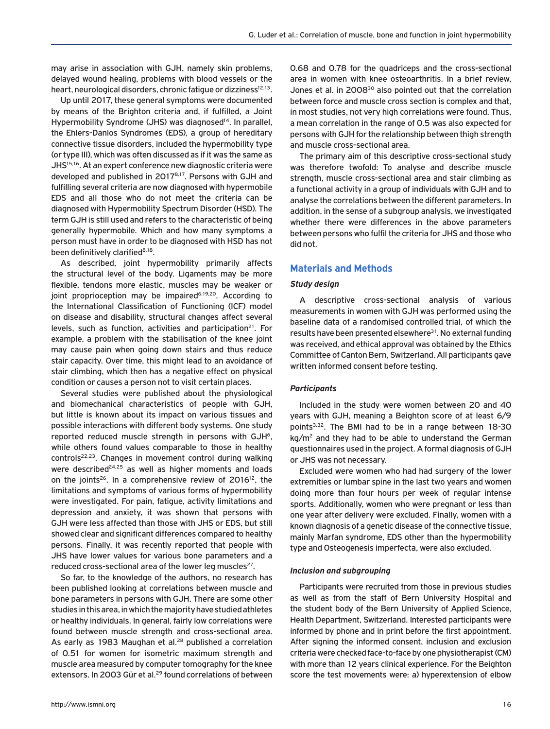may arise in association with GJH, namely skin problems, delayed wound healing, problems with blood vessels or the heart, neurological disorders, chronic fatigue or dizziness<sup>12,13</sup>.

Up until 2017, these general symptoms were documented by means of the Brighton criteria and, if fulfilled, a Joint Hypermobility Syndrome (JHS) was diagnosed<sup>14</sup>. In parallel, the Ehlers-Danlos Syndromes (EDS), a group of hereditary connective tissue disorders, included the hypermobility type (or type III), which was often discussed as if it was the same as JHS<sup>15,16</sup>. At an expert conference new diagnostic criteria were developed and published in 2017<sup>8,17</sup>. Persons with GJH and fulfilling several criteria are now diagnosed with hypermobile EDS and all those who do not meet the criteria can be diagnosed with Hypermobility Spectrum Disorder (HSD). The term GJH is still used and refers to the characteristic of being generally hypermobile. Which and how many symptoms a person must have in order to be diagnosed with HSD has not been definitively clarified<sup>8,18</sup>.

As described, joint hypermobility primarily affects the structural level of the body. Ligaments may be more flexible, tendons more elastic, muscles may be weaker or joint proprioception may be impaired<sup>6,19,20</sup>. According to the International Classification of Functioning (ICF) model on disease and disability, structural changes affect several levels, such as function, activities and participation $21$ . For example, a problem with the stabilisation of the knee joint may cause pain when going down stairs and thus reduce stair capacity. Over time, this might lead to an avoidance of stair climbing, which then has a negative effect on physical condition or causes a person not to visit certain places.

Several studies were published about the physiological and biomechanical characteristics of people with GJH, but little is known about its impact on various tissues and possible interactions with different body systems. One study reported reduced muscle strength in persons with  $GJH<sup>6</sup>$ , while others found values comparable to those in healthy controls<sup>22,23</sup>. Changes in movement control during walking were described<sup>24,25</sup> as well as higher moments and loads on the joints<sup>26</sup>. In a comprehensive review of  $2016^{12}$ , the limitations and symptoms of various forms of hypermobility were investigated. For pain, fatigue, activity limitations and depression and anxiety, it was shown that persons with GJH were less affected than those with JHS or EDS, but still showed clear and significant differences compared to healthy persons. Finally, it was recently reported that people with JHS have lower values for various bone parameters and a reduced cross-sectional area of the lower leg muscles<sup>27</sup>.

So far, to the knowledge of the authors, no research has been published looking at correlations between muscle and bone parameters in persons with GJH. There are some other studies in this area, in which the majority have studied athletes or healthy individuals. In general, fairly low correlations were found between muscle strength and cross-sectional area. As early as 1983 Maughan et al.<sup>28</sup> published a correlation of 0.51 for women for isometric maximum strength and muscle area measured by computer tomography for the knee extensors. In 2003 Gür et al.<sup>29</sup> found correlations of between 0.68 and 0.78 for the quadriceps and the cross-sectional area in women with knee osteoarthritis. In a brief review, Jones et al. in 2008<sup>30</sup> also pointed out that the correlation between force and muscle cross section is complex and that, in most studies, not very high correlations were found. Thus, a mean correlation in the range of 0.5 was also expected for persons with GJH for the relationship between thigh strength and muscle cross-sectional area.

The primary aim of this descriptive cross-sectional study was therefore twofold: To analyse and describe muscle strength, muscle cross-sectional area and stair climbing as a functional activity in a group of individuals with GJH and to analyse the correlations between the different parameters. In addition, in the sense of a subgroup analysis, we investigated whether there were differences in the above parameters between persons who fulfil the criteria for JHS and those who did not.

# **Materials and Methods**

## *Study design*

A descriptive cross-sectional analysis of various measurements in women with GJH was performed using the baseline data of a randomised controlled trial, of which the results have been presented elsewhere<sup>31</sup>. No external funding was received, and ethical approval was obtained by the Ethics Committee of Canton Bern, Switzerland. All participants gave written informed consent before testing.

#### *Participants*

Included in the study were women between 20 and 40 years with GJH, meaning a Beighton score of at least 6/9 points<sup>3,32</sup>. The BMI had to be in a range between 18-30  $kg/m<sup>2</sup>$  and they had to be able to understand the German questionnaires used in the project. A formal diagnosis of GJH or JHS was not necessary.

Excluded were women who had had surgery of the lower extremities or lumbar spine in the last two years and women doing more than four hours per week of regular intense sports. Additionally, women who were pregnant or less than one year after delivery were excluded. Finally, women with a known diagnosis of a genetic disease of the connective tissue, mainly Marfan syndrome, EDS other than the hypermobility type and Osteogenesis imperfecta, were also excluded.

#### *Inclusion and subgrouping*

Participants were recruited from those in previous studies as well as from the staff of Bern University Hospital and the student body of the Bern University of Applied Science, Health Department, Switzerland. Interested participants were informed by phone and in print before the first appointment. After signing the informed consent, inclusion and exclusion criteria were checked face-to-face by one physiotherapist (CM) with more than 12 years clinical experience. For the Beighton score the test movements were: a) hyperextension of elbow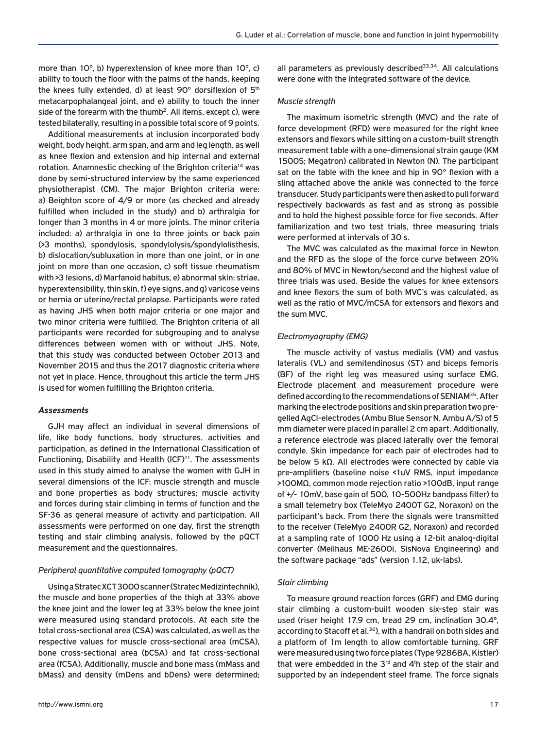more than 10°, b) hyperextension of knee more than 10°, c) ability to touch the floor with the palms of the hands, keeping the knees fully extended, d) at least 90° dorsiflexion of 5<sup>th</sup> metacarpophalangeal joint, and e) ability to touch the inner side of the forearm with the thumb<sup>2</sup>. All items, except c), were tested bilaterally, resulting in a possible total score of 9 points.

Additional measurements at inclusion incorporated body weight, body height, arm span, and arm and leg length, as well as knee flexion and extension and hip internal and external rotation. Anamnestic checking of the Brighton criteria<sup>14</sup> was done by semi-structured interview by the same experienced physiotherapist (CM). The major Brighton criteria were: a) Beighton score of 4/9 or more (as checked and already fulfilled when included in the study) and b) arthralgia for longer than 3 months in 4 or more joints. The minor criteria included: a) arthralgia in one to three joints or back pain (>3 months), spondylosis, spondylolysis/spondylolisthesis, b) dislocation/subluxation in more than one joint, or in one joint on more than one occasion, c) soft tissue rheumatism with >3 lesions, d) Marfanoid habitus, e) abnormal skin: striae, hyperextensibility, thin skin, f) eye signs, and g) varicose veins or hernia or uterine/rectal prolapse. Participants were rated as having JHS when both major criteria or one major and two minor criteria were fulfilled. The Brighton criteria of all participants were recorded for subgrouping and to analyse differences between women with or without JHS. Note, that this study was conducted between October 2013 and November 2015 and thus the 2017 diagnostic criteria where not yet in place. Hence, throughout this article the term JHS is used for women fulfilling the Brighton criteria.

## *Assessments*

GJH may affect an individual in several dimensions of life, like body functions, body structures, activities and participation, as defined in the International Classification of Functioning, Disability and Health (ICF) $^{21}$ . The assessments used in this study aimed to analyse the women with GJH in several dimensions of the ICF: muscle strength and muscle and bone properties as body structures; muscle activity and forces during stair climbing in terms of function and the SF-36 as general measure of activity and participation. All assessments were performed on one day, first the strength testing and stair climbing analysis, followed by the pQCT measurement and the questionnaires.

#### *Peripheral quantitative computed tomography (pQCT)*

Using a Stratec XCT 3000 scanner (Stratec Medizintechnik), the muscle and bone properties of the thigh at 33% above the knee joint and the lower leg at 33% below the knee joint were measured using standard protocols. At each site the total cross-sectional area (CSA) was calculated, as well as the respective values for muscle cross-sectional area (mCSA), bone cross-sectional area (bCSA) and fat cross-sectional area (fCSA). Additionally, muscle and bone mass (mMass and bMass) and density (mDens and bDens) were determined;

all parameters as previously described $33,34$ . All calculations were done with the integrated software of the device.

#### *Muscle strength*

The maximum isometric strength (MVC) and the rate of force development (RFD) were measured for the right knee extensors and flexors while sitting on a custom-built strength measurement table with a one-dimensional strain gauge (KM 1500S; Megatron) calibrated in Newton (N). The participant sat on the table with the knee and hip in 90° flexion with a sling attached above the ankle was connected to the force transducer. Study participants were then asked to pull forward respectively backwards as fast and as strong as possible and to hold the highest possible force for five seconds. After familiarization and two test trials, three measuring trials were performed at intervals of 30 s.

The MVC was calculated as the maximal force in Newton and the RFD as the slope of the force curve between 20% and 80% of MVC in Newton/second and the highest value of three trials was used. Beside the values for knee extensors and knee flexors the sum of both MVC's was calculated, as well as the ratio of MVC/mCSA for extensors and flexors and the sum MVC.

#### *Electromyography (EMG)*

The muscle activity of vastus medialis (VM) and vastus lateralis (VL) and semitendinosus (ST) and biceps femoris (BF) of the right leg was measured using surface EMG. Electrode placement and measurement procedure were defined according to the recommendations of SENIAM35. After marking the electrode positions and skin preparation two pregelled AgCl-electrodes (Ambu Blue Sensor N, Ambu A/S) of 5 mm diameter were placed in parallel 2 cm apart. Additionally, a reference electrode was placed laterally over the femoral condyle. Skin impedance for each pair of electrodes had to be below 5 kΩ. All electrodes were connected by cable via pre-amplifiers (baseline noise <1uV RMS, input impedance >100MΩ, common mode rejection ratio >100dB, input range of +/- 10mV, base gain of 500, 10-500Hz bandpass filter) to a small telemetry box (TeleMyo 2400T G2, Noraxon) on the participant's back. From there the signals were transmitted to the receiver (TeleMyo 2400R G2, Noraxon) and recorded at a sampling rate of 1000 Hz using a 12-bit analog-digital converter (Meilhaus ME-2600i, SisNova Engineering) and the software package "ads" (version 1.12, uk-labs).

## *Stair climbing*

To measure ground reaction forces (GRF) and EMG during stair climbing a custom-built wooden six-step stair was used (riser height 17.9 cm, tread 29 cm, inclination 30.4°, according to Stacoff et al.<sup>36</sup>), with a handrail on both sides and a platform of 1m length to allow comfortable turning. GRF were measured using two force plates (Type 9286BA, Kistler) that were embedded in the 3<sup>rd</sup> and 4<sup>t</sup>h step of the stair and supported by an independent steel frame. The force signals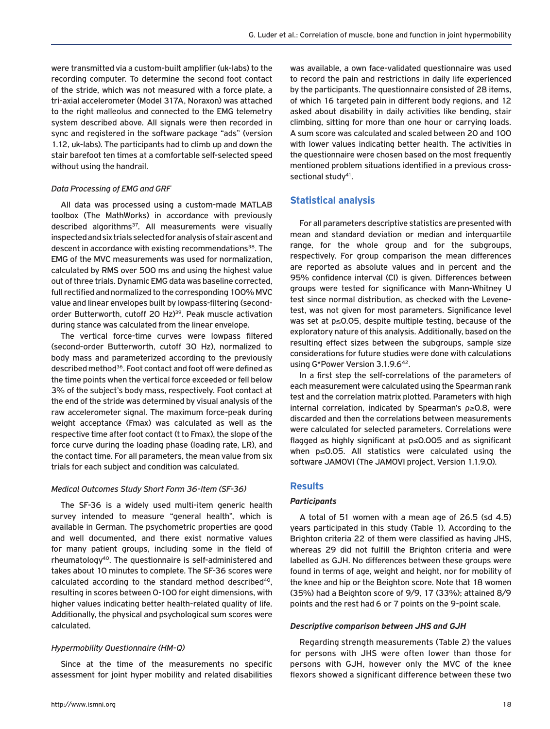were transmitted via a custom-built amplifier (uk-labs) to the recording computer. To determine the second foot contact of the stride, which was not measured with a force plate, a tri-axial accelerometer (Model 317A, Noraxon) was attached to the right malleolus and connected to the EMG telemetry system described above. All signals were then recorded in sync and registered in the software package "ads" (version 1.12, uk-labs). The participants had to climb up and down the stair barefoot ten times at a comfortable self-selected speed without using the handrail.

## *Data Processing of EMG and GRF*

All data was processed using a custom-made MATLAB toolbox (The MathWorks) in accordance with previously described algorithms<sup>37</sup>. All measurements were visually inspected and six trials selected for analysis of stair ascent and descent in accordance with existing recommendations<sup>38</sup>. The EMG of the MVC measurements was used for normalization, calculated by RMS over 500 ms and using the highest value out of three trials. Dynamic EMG data was baseline corrected, full rectified and normalized to the corresponding 100% MVC value and linear envelopes built by lowpass-filtering (secondorder Butterworth, cutoff 20 Hz)<sup>39</sup>. Peak muscle activation during stance was calculated from the linear envelope.

The vertical force-time curves were lowpass filtered (second-order Butterworth, cutoff 30 Hz), normalized to body mass and parameterized according to the previously described method<sup>36</sup>. Foot contact and foot off were defined as the time points when the vertical force exceeded or fell below 3% of the subject's body mass, respectively. Foot contact at the end of the stride was determined by visual analysis of the raw accelerometer signal. The maximum force-peak during weight acceptance (Fmax) was calculated as well as the respective time after foot contact (t to Fmax), the slope of the force curve during the loading phase (loading rate, LR), and the contact time. For all parameters, the mean value from six trials for each subject and condition was calculated.

## *Medical Outcomes Study Short Form 36-Item (SF-36)*

The SF-36 is a widely used multi-item generic health survey intended to measure "general health", which is available in German. The psychometric properties are good and well documented, and there exist normative values for many patient groups, including some in the field of rheumatology<sup>40</sup>. The questionnaire is self-administered and takes about 10 minutes to complete. The SF-36 scores were calculated according to the standard method described<sup>40</sup>, resulting in scores between 0-100 for eight dimensions, with higher values indicating better health-related quality of life. Additionally, the physical and psychological sum scores were calculated.

## *Hypermobility Questionnaire (HM-Q)*

Since at the time of the measurements no specific assessment for joint hyper mobility and related disabilities was available, a own face-validated questionnaire was used to record the pain and restrictions in daily life experienced by the participants. The questionnaire consisted of 28 items, of which 16 targeted pain in different body regions, and 12 asked about disability in daily activities like bending, stair climbing, sitting for more than one hour or carrying loads. A sum score was calculated and scaled between 20 and 100 with lower values indicating better health. The activities in the questionnaire were chosen based on the most frequently mentioned problem situations identified in a previous crosssectional study<sup>41</sup>.

# **Statistical analysis**

For all parameters descriptive statistics are presented with mean and standard deviation or median and interquartile range, for the whole group and for the subgroups, respectively. For group comparison the mean differences are reported as absolute values and in percent and the 95% confidence interval (CI) is given. Differences between groups were tested for significance with Mann-Whitney U test since normal distribution, as checked with the Levenetest, was not given for most parameters. Significance level was set at p≤0.05, despite multiple testing, because of the exploratory nature of this analysis. Additionally, based on the resulting effect sizes between the subgroups, sample size considerations for future studies were done with calculations using G\*Power Version 3.1.9.642.

In a first step the self-correlations of the parameters of each measurement were calculated using the Spearman rank test and the correlation matrix plotted. Parameters with high internal correlation, indicated by Spearman's ρ≥0.8, were discarded and then the correlations between measurements were calculated for selected parameters. Correlations were flagged as highly significant at p≤0.005 and as significant when p≤0.05. All statistics were calculated using the software JAMOVI (The JAMOVI project, Version 1.1.9.0).

## **Results**

# *Participants*

A total of 51 women with a mean age of 26.5 (sd 4.5) years participated in this study (Table 1). According to the Brighton criteria 22 of them were classified as having JHS, whereas 29 did not fulfill the Brighton criteria and were labelled as GJH. No differences between these groups were found in terms of age, weight and height, nor for mobility of the knee and hip or the Beighton score. Note that 18 women (35%) had a Beighton score of 9/9, 17 (33%); attained 8/9 points and the rest had 6 or 7 points on the 9-point scale.

## *Descriptive comparison between JHS and GJH*

Regarding strength measurements (Table 2) the values for persons with JHS were often lower than those for persons with GJH, however only the MVC of the knee flexors showed a significant difference between these two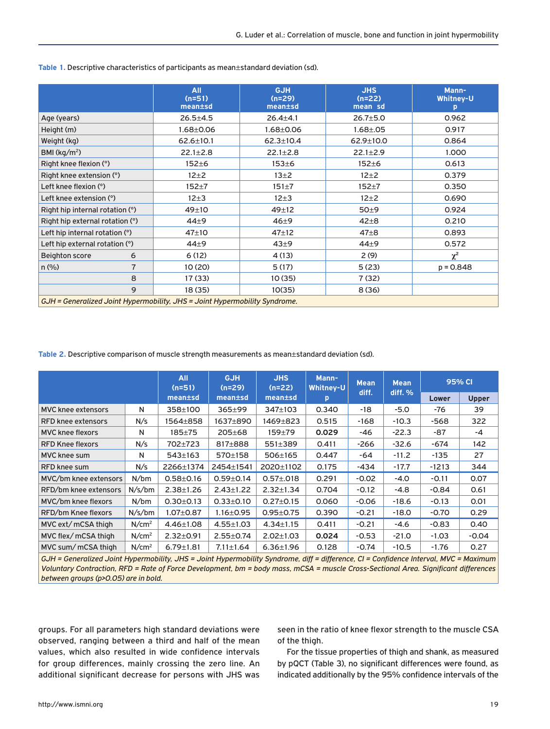|                                 | All<br>$(n=51)$<br>mean±sd                                                 | <b>GJH</b><br>$(n=29)$<br>mean±sd | <b>JHS</b><br>$(n=22)$<br>mean sd | Mann-<br><b>Whitney-U</b><br>D |  |  |  |  |  |  |  |
|---------------------------------|----------------------------------------------------------------------------|-----------------------------------|-----------------------------------|--------------------------------|--|--|--|--|--|--|--|
| Age (years)                     | $26.5 + 4.5$                                                               | $26.4 + 4.1$                      | $26.7 \pm 5.0$                    | 0.962                          |  |  |  |  |  |  |  |
| Height (m)                      | $1.68 \pm 0.06$                                                            | $1.68 \pm 0.06$                   | $1.68 + .05$                      | 0.917                          |  |  |  |  |  |  |  |
| Weight (kg)                     | $62.6 \pm 10.1$                                                            | $62.3 \pm 10.4$                   | $62.9 \pm 10.0$                   | 0.864                          |  |  |  |  |  |  |  |
| BMI ( $kg/m2$ )                 | $22.1 \pm 2.8$                                                             | $22.1 \pm 2.8$                    | $22.1 \pm 2.9$                    | 1.000                          |  |  |  |  |  |  |  |
| Right knee flexion (°)          | $152 + 6$                                                                  | $153 + 6$                         | $152 + 6$                         | 0.613                          |  |  |  |  |  |  |  |
| Right knee extension (°)        | $12\pm2$                                                                   | $13\pm2$                          | $12\pm2$                          | 0.379                          |  |  |  |  |  |  |  |
| Left knee flexion (°)           | $152 + 7$                                                                  | $151 + 7$                         | $152 + 7$                         | 0.350                          |  |  |  |  |  |  |  |
| Left knee extension (°)         | $12\pm3$                                                                   | $12\pm3$                          | $12+2$                            | 0.690                          |  |  |  |  |  |  |  |
| Right hip internal rotation (°) | 49±10                                                                      | $49 + 12$                         | 50±9                              | 0.924                          |  |  |  |  |  |  |  |
| Right hip external rotation (°) | $44\pm9$                                                                   | $46\pm9$                          | $42 + 8$                          | 0.210                          |  |  |  |  |  |  |  |
| Left hip internal rotation (°)  | $47\pm10$                                                                  | $47 + 12$                         | $47\pm8$                          | 0.893                          |  |  |  |  |  |  |  |
| Left hip external rotation (°)  | $44\pm9$                                                                   | $43+9$                            | $44+9$                            | 0.572                          |  |  |  |  |  |  |  |
| Beighton score<br>6             | 6(12)                                                                      | 4(13)                             | 2(9)                              | $\chi^2$                       |  |  |  |  |  |  |  |
| 7<br>n (% )                     | 10(20)                                                                     | 5(17)                             | 5(23)                             | $p = 0.848$                    |  |  |  |  |  |  |  |
| 8                               | 17 (33)                                                                    | 10(35)                            | 7(32)                             |                                |  |  |  |  |  |  |  |
| 9                               | 18 (35)                                                                    | 10(35)                            | 8(36)                             |                                |  |  |  |  |  |  |  |
|                                 | GJH = Generalized Joint Hypermobility, JHS = Joint Hypermobility Syndrome. |                                   |                                   |                                |  |  |  |  |  |  |  |

**Table 1.** Descriptive characteristics of participants as mean±standard deviation (sd).

**Table 2.** Descriptive comparison of muscle strength measurements as mean±standard deviation (sd).

|                         |                   | All<br>$(n=51)$ | <b>GJH</b><br>$(n=29)$ | <b>JHS</b><br>$(n=22)$ | Mann-<br><b>Whitney-U</b> | <b>Mean</b> | <b>Mean</b> | 95% CI       |              |  |
|-------------------------|-------------------|-----------------|------------------------|------------------------|---------------------------|-------------|-------------|--------------|--------------|--|
|                         |                   | mean±sd         | mean±sd                | mean±sd                | D                         | diff.       | diff. %     | <b>Lower</b> | <b>Upper</b> |  |
| MVC knee extensors      | N                 | 358±100         | $365 + 99$             | 347±103                | 0.340                     | $-18$       | $-5.0$      | -76          | 39           |  |
| RFD knee extensors      | N/s               | 1564±858        | 1637±890               | 1469±823               | 0.515                     | $-168$      | $-10.3$     | $-568$       | 322          |  |
| <b>MVC</b> knee flexors | N                 | $185 + 75$      | $205 \pm 68$           | 159±79                 | 0.029                     | -46         | $-22.3$     | $-87$        | $-4$         |  |
| <b>RFD Knee flexors</b> | N/s               | 702±723         | 817±888                | 551±389                | 0.411                     | $-266$      | $-32.6$     | $-674$       | 142          |  |
| MVC knee sum            | N                 | $543 \pm 163$   | 570±158                | $506 \pm 165$          | 0.447                     | -64         | $-11.2$     | $-135$       | 27           |  |
| <b>RFD</b> knee sum     | N/s               | 2266±1374       | 2454±1541              | 2020±1102              | 0.175                     | $-434$      | $-17.7$     | $-1213$      | 344          |  |
| MVC/bm knee extensors   | N/bm              | $0.58 + 0.16$   | $0.59 + 0.14$          | $0.57 + 0.018$         | 0.291                     | $-0.02$     | $-4.0$      | $-0.11$      | 0.07         |  |
| RFD/bm knee extensors   | N/s/bm            | $2.38 \pm 1.26$ | $2.43 \pm 1.22$        | $2.32 \pm 1.34$        | 0.704                     | $-0.12$     | $-4.8$      | $-0.84$      | 0.61         |  |
| MVC/bm knee flexors     | N/bm              | $0.30 \pm 0.13$ | $0.33 \pm 0.10$        | $0.27 \pm 0.15$        | 0.060                     | $-0.06$     | $-18.6$     | $-0.13$      | 0.01         |  |
| RFD/bm Knee flexors     | N/s/bm            | $1.07 \pm 0.87$ | $1.16 \pm 0.95$        | $0.95 \pm 0.75$        | 0.390                     | $-0.21$     | $-18.0$     | $-0.70$      | 0.29         |  |
| MVC ext/mCSA thigh      | N/cm <sup>2</sup> | $4.46 \pm 1.08$ | $4.55 \pm 1.03$        | $4.34 \pm 1.15$        | 0.411                     | $-0.21$     | $-4.6$      | $-0.83$      | 0.40         |  |
| MVC flex/mCSA thigh     | N/cm <sup>2</sup> | $2.32 \pm 0.91$ | $2.55 \pm 0.74$        | $2.02 \pm 1.03$        | 0.024                     | $-0.53$     | $-21.0$     | $-1.03$      | $-0.04$      |  |
| MVC sum/mCSA thigh      | N/cm <sup>2</sup> | $6.79 \pm 1.81$ | $7.11 \pm 1.64$        | $6.36 \pm 1.96$        | 0.128                     | $-0.74$     | $-10.5$     | $-1.76$      | 0.27         |  |

*GJH = Generalized Joint Hypermobility, JHS = Joint Hypermobility Syndrome, diff = difference, CI = Confidence Interval, MVC = Maximum Voluntary Contraction, RFD = Rate of Force Development, bm = body mass, mCSA = muscle Cross-Sectional Area. Significant differences between groups (p>0.05) are in bold.*

groups. For all parameters high standard deviations were observed, ranging between a third and half of the mean values, which also resulted in wide confidence intervals for group differences, mainly crossing the zero line. An additional significant decrease for persons with JHS was seen in the ratio of knee flexor strength to the muscle CSA of the thigh.

For the tissue properties of thigh and shank, as measured by pQCT (Table 3), no significant differences were found, as indicated additionally by the 95% confidence intervals of the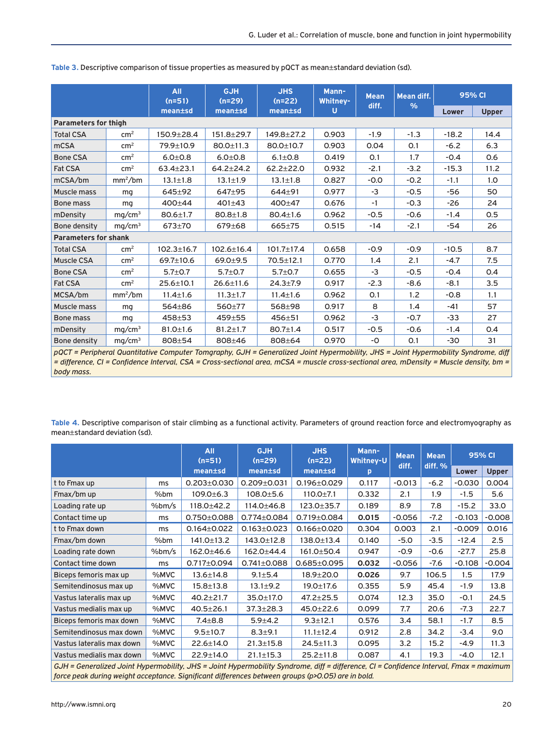|                             |                                                                                                                                                                                                                                                                                                                                                                     | All<br>$(n=51)$  | <b>GJH</b><br>$(n=29)$ | <b>JHS</b><br>$(n=22)$ | Mann-<br>Whitney- | <b>Mean</b> | Mean diff. | 95% CI       |              |  |  |
|-----------------------------|---------------------------------------------------------------------------------------------------------------------------------------------------------------------------------------------------------------------------------------------------------------------------------------------------------------------------------------------------------------------|------------------|------------------------|------------------------|-------------------|-------------|------------|--------------|--------------|--|--|
|                             |                                                                                                                                                                                                                                                                                                                                                                     | mean±sd          | mean±sd                | mean±sd                | U                 | diff.       | $\%$       | <b>Lower</b> | <b>Upper</b> |  |  |
| <b>Parameters for thigh</b> |                                                                                                                                                                                                                                                                                                                                                                     |                  |                        |                        |                   |             |            |              |              |  |  |
| <b>Total CSA</b>            | cm <sup>2</sup>                                                                                                                                                                                                                                                                                                                                                     | 150.9±28.4       | 151.8±29.7             | 149.8±27.2             | 0.903             | $-1.9$      | $-1.3$     | $-18.2$      | 14.4         |  |  |
| <b>mCSA</b>                 | cm <sup>2</sup>                                                                                                                                                                                                                                                                                                                                                     | 79.9±10.9        | $80.0 \pm 11.3$        | 80.0±10.7              | 0.903             | 0.04        | O.1        | $-6.2$       | 6.3          |  |  |
| <b>Bone CSA</b>             | cm <sup>2</sup>                                                                                                                                                                                                                                                                                                                                                     | $6.0 + 0.8$      | $6.0 + 0.8$            | $6.1 \pm 0.8$          | 0.419             | O.1         | 1.7        | $-0.4$       | 0.6          |  |  |
| Fat CSA                     | cm <sup>2</sup>                                                                                                                                                                                                                                                                                                                                                     | $63.4 \pm 23.1$  | $64.2 + 24.2$          | $62.2 \pm 22.0$        | 0.932             | $-2.1$      | $-3.2$     | $-15.3$      | 11.2         |  |  |
| mCSA/bm                     | mm <sup>2</sup> /bm                                                                                                                                                                                                                                                                                                                                                 | $13.1 \pm 1.8$   | $13.1 \pm 1.9$         | $13.1 \pm 1.8$         | 0.827             | $-0.0$      | $-0.2$     | $-1.1$       | 1.0          |  |  |
| Muscle mass                 | mg                                                                                                                                                                                                                                                                                                                                                                  | $645 + 92$       | 647±95                 | 644±91                 | 0.977             | -3          | $-0.5$     | -56          | 50           |  |  |
| Bone mass                   | mg                                                                                                                                                                                                                                                                                                                                                                  | 400±44           | $401 + 43$             | $400 + 47$             | 0.676             | $-1$        | $-0.3$     | $-26$        | 24           |  |  |
| mDensity                    | mg/cm <sup>3</sup>                                                                                                                                                                                                                                                                                                                                                  | $80.6 \pm 1.7$   | $80.8 \pm 1.8$         | $80.4 \pm 1.6$         | 0.962             | $-0.5$      | $-0.6$     | $-1.4$       | 0.5          |  |  |
| Bone density                | ma/cm <sup>3</sup>                                                                                                                                                                                                                                                                                                                                                  | $673 + 70$       | $679 + 68$             | 665±75                 | 0.515             | $-14$       | $-2.1$     | $-54$        | 26           |  |  |
| <b>Parameters for shank</b> |                                                                                                                                                                                                                                                                                                                                                                     |                  |                        |                        |                   |             |            |              |              |  |  |
| <b>Total CSA</b>            | cm <sup>2</sup>                                                                                                                                                                                                                                                                                                                                                     | $102.3 \pm 16.7$ | $102.6 \pm 16.4$       | $101.7 \pm 17.4$       | 0.658             | $-0.9$      | $-0.9$     | $-10.5$      | 8.7          |  |  |
| <b>Muscle CSA</b>           | cm <sup>2</sup>                                                                                                                                                                                                                                                                                                                                                     | 69.7±10.6        | $69.0 + 9.5$           | $70.5 \pm 12.1$        | 0.770             | 1.4         | 2.1        | $-4.7$       | 7.5          |  |  |
| <b>Bone CSA</b>             | cm <sup>2</sup>                                                                                                                                                                                                                                                                                                                                                     | $5.7 \pm 0.7$    | $5.7 \pm 0.7$          | $5.7 \pm 0.7$          | 0.655             | -3          | $-0.5$     | $-0.4$       | O.4          |  |  |
| <b>Fat CSA</b>              | cm <sup>2</sup>                                                                                                                                                                                                                                                                                                                                                     | $25.6 \pm 10.1$  | $26.6 \pm 11.6$        | $24.3 \pm 7.9$         | 0.917             | $-2.3$      | $-8.6$     | $-8.1$       | 3.5          |  |  |
| MCSA/bm                     | mm <sup>2</sup> /bm                                                                                                                                                                                                                                                                                                                                                 | $11.4 \pm 1.6$   | $11.3 \pm 1.7$         | $11.4 \pm 1.6$         | 0.962             | O.1         | 1.2        | $-0.8$       | 1.1          |  |  |
| Muscle mass                 | mg                                                                                                                                                                                                                                                                                                                                                                  | 564±86           | 560±77                 | 568±98                 | 0.917             | 8           | 1.4        | $-41$        | 57           |  |  |
| Bone mass                   | mg                                                                                                                                                                                                                                                                                                                                                                  | $458 + 53$       | 459±55                 | 456±51                 | 0.962             | -3          | $-0.7$     | $-33$        | 27           |  |  |
| mDensity                    | mq/cm <sup>3</sup>                                                                                                                                                                                                                                                                                                                                                  | $81.0 \pm 1.6$   | $81.2 \pm 1.7$         | $80.7 \pm 1.4$         | 0.517             | $-0.5$      | $-0.6$     | $-1.4$       | 0.4          |  |  |
| Bone density                | mg/cm <sup>3</sup>                                                                                                                                                                                                                                                                                                                                                  | 808±54           | 808±46                 | 808±64                 | 0.970             | -O          | O.1        | $-30$        | 31           |  |  |
|                             | pQCT = Peripheral Quantitative Computer Tomgraphy, GJH = Generalized Joint Hypermobility, JHS = Joint Hypermobility Syndrome, diff<br>$-$ differences. Of a Confidence between CCA a Corresponding of once an CCA account of corresponding the confident of the corresponding to the corresponding to the corresponding to the corresponding to the corresponding t |                  |                        |                        |                   |             |            |              |              |  |  |

**Table 3.** Descriptive comparison of tissue properties as measured by pQCT as mean±standard deviation (sd).

*= difference, CI = Confidence Interval, CSA = Cross-sectional area, mCSA = muscle cross-sectional area, mDensity = Muscle density, bm = body mass.*

**Table 4.** Descriptive comparison of stair climbing as a functional activity. Parameters of ground reaction force and electromyography as mean±standard deviation (sd).

|                                                                                                                                        |        | All<br>$(n=51)$   | <b>GJH</b><br>$(n=29)$ | <b>JHS</b><br>$(n=22)$ | Mann-<br><b>Whitney-U</b> | <b>Mean</b> | <b>Mean</b> | 95% CI   |              |
|----------------------------------------------------------------------------------------------------------------------------------------|--------|-------------------|------------------------|------------------------|---------------------------|-------------|-------------|----------|--------------|
|                                                                                                                                        |        | mean±sd           | mean±sd                | mean±sd                | p                         | diff.       | diff. %     | Lower    | <b>Upper</b> |
| t to Fmax up                                                                                                                           | ms.    | $0.203 \pm 0.030$ | $0.209 \pm 0.031$      | $0.196 \pm 0.029$      | 0.117                     | $-0.013$    | $-6.2$      | $-0.030$ | 0.004        |
| Fmax/bm up                                                                                                                             | %bm    | $109.0 \pm 6.3$   | $108.0 \pm 5.6$        | $110.0 \pm 7.1$        | 0.332                     | 2.1         | 1.9         | $-1.5$   | 5.6          |
| Loading rate up                                                                                                                        | %bm/s  | 118.0±42.2        | 114.0±46.8             | 123.0±35.7             | 0.189                     | 8.9         | 7.8         | $-15.2$  | 33.0         |
| Contact time up                                                                                                                        | ms.    | $0.750 \pm 0.088$ | $0.774 \pm 0.084$      | $0.719 \pm 0.084$      | 0.015                     | $-0.056$    | $-7.2$      | $-0.103$ | $-0.008$     |
| t to Fmax down                                                                                                                         | ms     | $0.164 \pm 0.022$ | $0.163 \pm 0.023$      | $0.166 \pm 0.020$      | 0.304                     | 0.003       | 2.1         | $-0.009$ | 0.016        |
| Fmax/bm down                                                                                                                           | $%$ bm | 141.0±13.2        | 143.0±12.8             | 138.0±13.4             | 0.140                     | $-5.0$      | $-3.5$      | $-12.4$  | 2.5          |
| Loading rate down                                                                                                                      | %bm/s  | 162.0±46.6        | 162.0±44.4             | 161.0±50.4             | 0.947                     | $-0.9$      | $-0.6$      | $-27.7$  | 25.8         |
| Contact time down                                                                                                                      | ms     | $0.717 \pm 0.094$ | $0.741 \pm 0.088$      | $0.685 \pm 0.095$      | 0.032                     | $-0.056$    | -7.6        | $-0.108$ | $-0.004$     |
| Biceps femoris max up                                                                                                                  | %MVC   | $13.6 \pm 14.8$   | $9.1 \pm 5.4$          | 18.9±20.0              | 0.026                     | 9.7         | 106.5       | 1.5      | 17.9         |
| Semitendinosus max up                                                                                                                  | %MVC   | $15.8 \pm 13.8$   | $13.1 \pm 9.2$         | $19.0 \pm 17.6$        | 0.355                     | 5.9         | 45.4        | $-1.9$   | 13.8         |
| Vastus lateralis max up                                                                                                                | %MVC   | $40.2 \pm 21.7$   | 35.0±17.0              | $47.2 \pm 25.5$        | 0.074                     | 12.3        | 35.0        | $-0.1$   | 24.5         |
| Vastus medialis max up                                                                                                                 | %MVC   | $40.5 \pm 26.1$   | $37.3 \pm 28.3$        | $45.0 \pm 22.6$        | 0.099                     | 7.7         | 20.6        | $-7.3$   | 22.7         |
| Biceps femoris max down                                                                                                                | %MVC   | $7.4 \pm 8.8$     | $5.9 + 4.2$            | $9.3 \pm 12.1$         | 0.576                     | 3.4         | 58.1        | $-1.7$   | 8.5          |
| Semitendinosus max down                                                                                                                | %MVC   | $9.5 \pm 10.7$    | $8.3 + 9.1$            | $11.1 \pm 12.4$        | 0.912                     | 2.8         | 34.2        | $-3.4$   | 9.0          |
| Vastus lateralis max down                                                                                                              | %MVC   | 22.6±14.0         | $21.3 \pm 15.8$        | $24.5 \pm 11.3$        | 0.095                     | 3.2         | 15.2        | -4.9     | 11.3         |
| Vastus medialis max down                                                                                                               | %MVC   | 22.9±14.0         | $21.1 \pm 15.3$        | $25.2 \pm 11.8$        | 0.087                     | 4.1         | 19.3        | $-4.0$   | 12.1         |
| GJH = Generalized Joint Hypermobility. JHS = Joint Hypermobility Syndrome, diff = difference, CI = Confidence Interval, Fmax = maximum |        |                   |                        |                        |                           |             |             |          |              |

*GJH = Generalized Joint Hypermobility, JHS = Joint Hypermobility Syndrome, diff = difference, CI = Confidence Interval, Fmax = maximum force peak during weight acceptance. Significant differences between groups (p>0.05) are in bold.*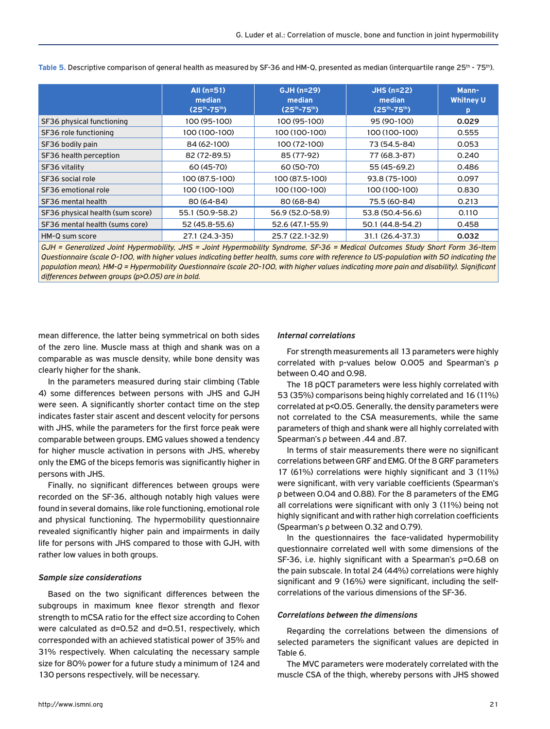|                                  | All $(n=51)$<br>median<br>$(25^{th} - 75^{th})$ | <b>GJH (n=29)</b><br>median<br>$(25^{th} - 75^{th})$ | JHS (n=22)<br>median<br>$(25^{th} - 75^{th})$ | Mann-<br><b>Whitney U</b><br>p |
|----------------------------------|-------------------------------------------------|------------------------------------------------------|-----------------------------------------------|--------------------------------|
| SF36 physical functioning        | 100 (95-100)                                    | 100 (95-100)                                         | 95 (90-100)                                   | 0.029                          |
| SF36 role functioning            | 100 (100-100)                                   | 100 (100-100)                                        | 100 (100-100)                                 | 0.555                          |
| SF36 bodily pain                 | 84 (62-100)                                     | 100 (72-100)                                         | 73 (54.5-84)                                  | 0.053                          |
| SF36 health perception           | 82 (72-89.5)                                    | 85 (77-92)                                           | 77 (68.3-87)                                  | 0.240                          |
| SF36 vitality                    | 60 (45-70)                                      | 60 (50-70)                                           | 55 (45-69.2)                                  | 0.486                          |
| SF36 social role                 | 100 (87.5-100)                                  | 100 (87.5-100)                                       | 93.8 (75-100)                                 | 0.097                          |
| SF36 emotional role              | 100 (100-100)                                   | 100 (100-100)                                        | 100 (100-100)                                 | 0.830                          |
| SF36 mental health               | 80 (64-84)                                      | 80 (68-84)                                           | 75.5 (60-84)                                  | 0.213                          |
| SF36 physical health (sum score) | 55.1 (50.9-58.2)                                | 56.9 (52.0-58.9)                                     | 53.8 (50.4-56.6)                              | 0.110                          |
| SF36 mental health (sums core)   | 52 (45.8-55.6)                                  | 52.6 (47.1-55.9)                                     | 50.1 (44.8-54.2)                              | 0.458                          |
| HM-Q sum score                   | 27.1 (24.3-35)                                  | 25.7 (22.1-32.9)                                     | 31.1 (26.4-37.3)                              | 0.032                          |

Table 5. Descriptive comparison of general health as measured by SF-36 and HM-Q, presented as median (interquartile range 25<sup>th</sup> - 75<sup>th</sup>).

*GJH = Generalized Joint Hypermobility, JHS = Joint Hypermobility Syndrome, SF-36 = Medical Outcomes Study Short Form 36-Item Questionnaire (scale 0-100, with higher values indicating better health, sums core with reference to US-population with 50 indicating the population mean), HM-Q = Hypermobility Questionnaire (scale 20-100, with higher values indicating more pain and disability). Significant differences between groups (p>0.05) are in bold.*

mean difference, the latter being symmetrical on both sides of the zero line. Muscle mass at thigh and shank was on a comparable as was muscle density, while bone density was clearly higher for the shank.

In the parameters measured during stair climbing (Table 4) some differences between persons with JHS and GJH were seen. A significantly shorter contact time on the step indicates faster stair ascent and descent velocity for persons with JHS, while the parameters for the first force peak were comparable between groups. EMG values showed a tendency for higher muscle activation in persons with JHS, whereby only the EMG of the biceps femoris was significantly higher in persons with JHS.

Finally, no significant differences between groups were recorded on the SF-36, although notably high values were found in several domains, like role functioning, emotional role and physical functioning. The hypermobility questionnaire revealed significantly higher pain and impairments in daily life for persons with JHS compared to those with GJH, with rather low values in both groups.

## *Sample size considerations*

Based on the two significant differences between the subgroups in maximum knee flexor strength and flexor strength to mCSA ratio for the effect size according to Cohen were calculated as d=0.52 and d=0.51, respectively, which corresponded with an achieved statistical power of 35% and 31% respectively. When calculating the necessary sample size for 80% power for a future study a minimum of 124 and 130 persons respectively, will be necessary.

## *Internal correlations*

For strength measurements all 13 parameters were highly correlated with p-values below 0.005 and Spearman's ρ between 0.40 and 0.98.

The 18 pQCT parameters were less highly correlated with 53 (35%) comparisons being highly correlated and 16 (11%) correlated at p<0.05. Generally, the density parameters were not correlated to the CSA measurements, while the same parameters of thigh and shank were all highly correlated with Spearman's ρ between .44 and .87.

In terms of stair measurements there were no significant correlations between GRF and EMG. Of the 8 GRF parameters 17 (61%) correlations were highly significant and 3 (11%) were significant, with very variable coefficients (Spearman's ρ between 0.04 and 0.88). For the 8 parameters of the EMG all correlations were significant with only 3 (11%) being not highly significant and with rather high correlation coefficients (Spearman's ρ between 0.32 and 0.79).

In the questionnaires the face-validated hypermobility questionnaire correlated well with some dimensions of the SF-36, i.e. highly significant with a Spearman's ρ=0.68 on the pain subscale. In total 24 (44%) correlations were highly significant and 9 (16%) were significant, including the selfcorrelations of the various dimensions of the SF-36.

#### *Correlations between the dimensions*

Regarding the correlations between the dimensions of selected parameters the significant values are depicted in Table 6.

The MVC parameters were moderately correlated with the muscle CSA of the thigh, whereby persons with JHS showed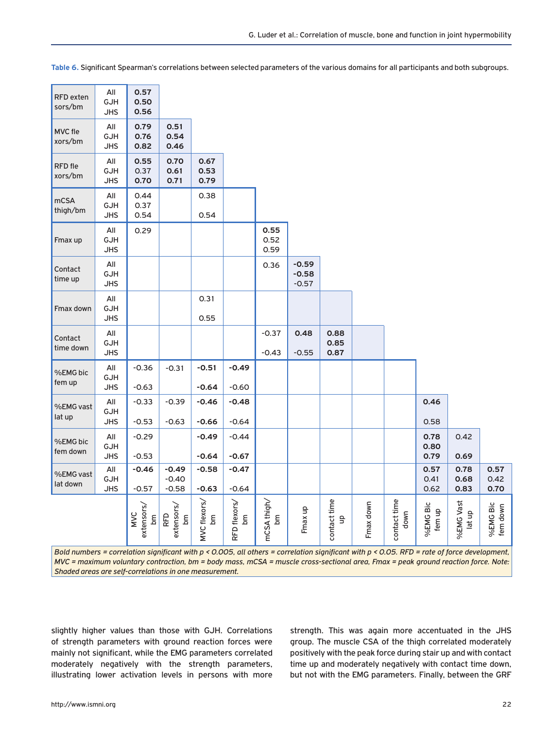| RFD exten<br>sors/bm    | $A\parallel$<br>GJH<br><b>JHS</b> | 0.57<br>0.50<br>0.56                 |                                   |                              |                              |                             |                               |                      |           |                      |                      |                      |                      |
|-------------------------|-----------------------------------|--------------------------------------|-----------------------------------|------------------------------|------------------------------|-----------------------------|-------------------------------|----------------------|-----------|----------------------|----------------------|----------------------|----------------------|
| MVC fle<br>xors/bm      | All<br>GJH<br><b>JHS</b>          | 0.79<br>0.76<br>0.82                 | 0.51<br>0.54<br>0.46              |                              |                              |                             |                               |                      |           |                      |                      |                      |                      |
| RFD fle<br>xors/bm      | All<br>GJH<br><b>JHS</b>          | 0.55<br>0.37<br>0.70                 | 0.70<br>0.61<br>0.71              | 0.67<br>0.53<br>0.79         |                              |                             |                               |                      |           |                      |                      |                      |                      |
| <b>mCSA</b><br>thigh/bm | All<br>GJH<br><b>JHS</b>          | 0.44<br>0.37<br>0.54                 |                                   | 0.38<br>0.54                 |                              |                             |                               |                      |           |                      |                      |                      |                      |
| Fmax up                 | All<br>GJH<br><b>JHS</b>          | 0.29                                 |                                   |                              |                              | 0.55<br>0.52<br>0.59        |                               |                      |           |                      |                      |                      |                      |
| Contact<br>time up      | All<br>GJH<br><b>JHS</b>          |                                      |                                   |                              |                              | 0.36                        | $-0.59$<br>$-0.58$<br>$-0.57$ |                      |           |                      |                      |                      |                      |
| Fmax down               | All<br>GJH<br><b>JHS</b>          |                                      |                                   | 0.31<br>0.55                 |                              |                             |                               |                      |           |                      |                      |                      |                      |
| Contact<br>time down    | All<br>GJH<br><b>JHS</b>          |                                      |                                   |                              |                              | $-0.37$<br>$-0.43$          | 0.48<br>$-0.55$               | 0.88<br>0.85<br>0.87 |           |                      |                      |                      |                      |
| %EMG bic<br>fem up      | All<br>GJH<br><b>JHS</b>          | $-0.36$<br>$-0.63$                   | $-0.31$                           | $-0.51$<br>$-0.64$           | $-0.49$<br>$-0.60$           |                             |                               |                      |           |                      |                      |                      |                      |
| %EMG vast<br>lat up     | All<br>GJH<br><b>JHS</b>          | $-0.33$<br>$-0.53$                   | $-0.39$<br>$-0.63$                | $-0.46$<br>$-0.66$           | $-0.48$<br>$-0.64$           |                             |                               |                      |           |                      | 0.46<br>0.58         |                      |                      |
| %EMG bic<br>fem down    | All<br>GJH<br><b>JHS</b>          | $-0.29$<br>$-0.53$                   |                                   | $-0.49$<br>$-0.64$           | $-0.44$<br>$-0.67$           |                             |                               |                      |           |                      | 0.78<br>0.80<br>0.79 | 0.42<br>0.69         |                      |
| %EMG vast<br>lat down   | All<br>GJH<br><b>JHS</b>          | $-0.46$<br>$-0.57$                   | $-0.49$<br>$-0.40$<br>$-0.58$     | $-0.58$<br>$-0.63$           | $-0.47$<br>$-0.64$           |                             |                               |                      |           |                      | 0.57<br>0.41<br>0.62 | 0.78<br>0.68<br>0.83 | 0.57<br>0.42<br>0.70 |
|                         |                                   | extensors/<br><b>MVC</b><br><b>S</b> | RFD<br>extensors/<br>$\mathsf{B}$ | MVC flexors/<br>$\mathsf{g}$ | RFD flexors/<br>$\mathsf{g}$ | mCSA thigh/<br>$\mathsf{E}$ | Fmax up                       | contact time<br>유    | Fmax down | contact time<br>down | %EMGBic<br>fem up    | %EMG Vast<br>lat up  | %EMG Bic<br>fem down |

**Table 6.** Significant Spearman's correlations between selected parameters of the various domains for all participants and both subgroups.

*Bold numbers = correlation significant with p < 0.005, all others = correlation significant with p < 0.05. RFD = rate of force development, MVC = maximum voluntary contraction, bm = body mass, mCSA = muscle cross-sectional area, Fmax = peak ground reaction force. Note: Shaded areas are self-correlations in one measurement.*

slightly higher values than those with GJH. Correlations of strength parameters with ground reaction forces were mainly not significant, while the EMG parameters correlated moderately negatively with the strength parameters, illustrating lower activation levels in persons with more strength. This was again more accentuated in the JHS group. The muscle CSA of the thigh correlated moderately positively with the peak force during stair up and with contact time up and moderately negatively with contact time down, but not with the EMG parameters. Finally, between the GRF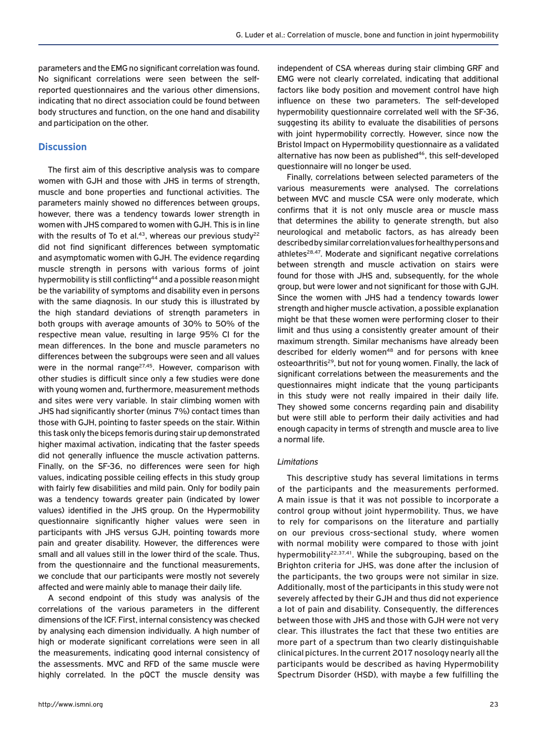parameters and the EMG no significant correlation was found. No significant correlations were seen between the selfreported questionnaires and the various other dimensions, indicating that no direct association could be found between body structures and function, on the one hand and disability and participation on the other.

# **Discussion**

The first aim of this descriptive analysis was to compare women with GJH and those with JHS in terms of strength, muscle and bone properties and functional activities. The parameters mainly showed no differences between groups, however, there was a tendency towards lower strength in women with JHS compared to women with GJH. This is in line with the results of To et al.<sup>43</sup>, whereas our previous study<sup>22</sup> did not find significant differences between symptomatic and asymptomatic women with GJH. The evidence regarding muscle strength in persons with various forms of joint hypermobility is still conflicting<sup>44</sup> and a possible reason might be the variability of symptoms and disability even in persons with the same diagnosis. In our study this is illustrated by the high standard deviations of strength parameters in both groups with average amounts of 30% to 50% of the respective mean value, resulting in large 95% CI for the mean differences. In the bone and muscle parameters no differences between the subgroups were seen and all values were in the normal range $27,45$ . However, comparison with other studies is difficult since only a few studies were done with young women and, furthermore, measurement methods and sites were very variable. In stair climbing women with JHS had significantly shorter (minus 7%) contact times than those with GJH, pointing to faster speeds on the stair. Within this task only the biceps femoris during stair up demonstrated higher maximal activation, indicating that the faster speeds did not generally influence the muscle activation patterns. Finally, on the SF-36, no differences were seen for high values, indicating possible ceiling effects in this study group with fairly few disabilities and mild pain. Only for bodily pain was a tendency towards greater pain (indicated by lower values) identified in the JHS group. On the Hypermobility questionnaire significantly higher values were seen in participants with JHS versus GJH, pointing towards more pain and greater disability. However, the differences were small and all values still in the lower third of the scale. Thus, from the questionnaire and the functional measurements, we conclude that our participants were mostly not severely affected and were mainly able to manage their daily life.

A second endpoint of this study was analysis of the correlations of the various parameters in the different dimensions of the ICF. First, internal consistency was checked by analysing each dimension individually. A high number of high or moderate significant correlations were seen in all the measurements, indicating good internal consistency of the assessments. MVC and RFD of the same muscle were highly correlated. In the pQCT the muscle density was independent of CSA whereas during stair climbing GRF and EMG were not clearly correlated, indicating that additional factors like body position and movement control have high influence on these two parameters. The self-developed hypermobility questionnaire correlated well with the SF-36, suggesting its ability to evaluate the disabilities of persons with joint hypermobility correctly. However, since now the Bristol Impact on Hypermobility questionnaire as a validated alternative has now been as published<sup>46</sup>, this self-developed questionnaire will no longer be used.

Finally, correlations between selected parameters of the various measurements were analysed. The correlations between MVC and muscle CSA were only moderate, which confirms that it is not only muscle area or muscle mass that determines the ability to generate strength, but also neurological and metabolic factors, as has already been described by similar correlation values for healthy persons and athletes<sup>28,47</sup>. Moderate and significant negative correlations between strength and muscle activation on stairs were found for those with JHS and, subsequently, for the whole group, but were lower and not significant for those with GJH. Since the women with JHS had a tendency towards lower strength and higher muscle activation, a possible explanation might be that these women were performing closer to their limit and thus using a consistently greater amount of their maximum strength. Similar mechanisms have already been described for elderly women<sup>48</sup> and for persons with knee osteoarthritis<sup>29</sup>, but not for young women. Finally, the lack of significant correlations between the measurements and the questionnaires might indicate that the young participants in this study were not really impaired in their daily life. They showed some concerns regarding pain and disability but were still able to perform their daily activities and had enough capacity in terms of strength and muscle area to live a normal life.

## *Limitations*

This descriptive study has several limitations in terms of the participants and the measurements performed. A main issue is that it was not possible to incorporate a control group without joint hypermobility. Thus, we have to rely for comparisons on the literature and partially on our previous cross-sectional study, where women with normal mobility were compared to those with joint hypermobility<sup>22,37,41</sup>. While the subgrouping, based on the Brighton criteria for JHS, was done after the inclusion of the participants, the two groups were not similar in size. Additionally, most of the participants in this study were not severely affected by their GJH and thus did not experience a lot of pain and disability. Consequently, the differences between those with JHS and those with GJH were not very clear. This illustrates the fact that these two entities are more part of a spectrum than two clearly distinguishable clinical pictures. In the current 2017 nosology nearly all the participants would be described as having Hypermobility Spectrum Disorder (HSD), with maybe a few fulfilling the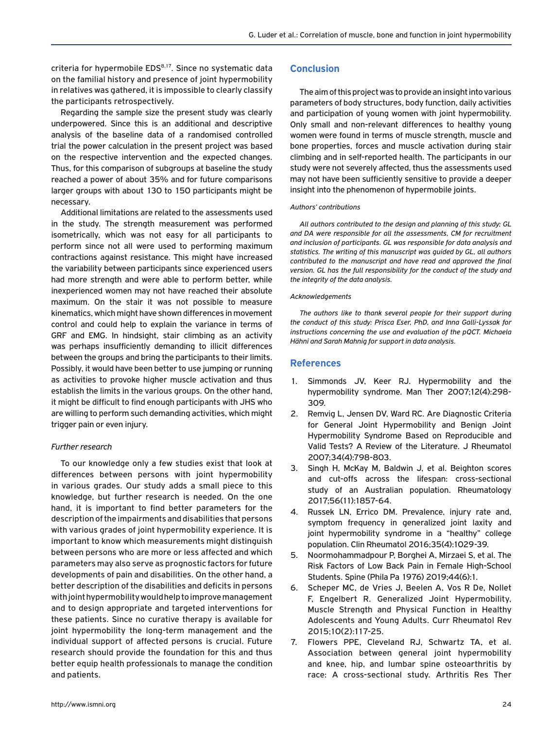criteria for hypermobile EDS<sup>8,17</sup>. Since no systematic data on the familial history and presence of joint hypermobility in relatives was gathered, it is impossible to clearly classify the participants retrospectively.

Regarding the sample size the present study was clearly underpowered. Since this is an additional and descriptive analysis of the baseline data of a randomised controlled trial the power calculation in the present project was based on the respective intervention and the expected changes. Thus, for this comparison of subgroups at baseline the study reached a power of about 35% and for future comparisons larger groups with about 130 to 150 participants might be necessary.

Additional limitations are related to the assessments used in the study. The strength measurement was performed isometrically, which was not easy for all participants to perform since not all were used to performing maximum contractions against resistance. This might have increased the variability between participants since experienced users had more strength and were able to perform better, while inexperienced women may not have reached their absolute maximum. On the stair it was not possible to measure kinematics, which might have shown differences in movement control and could help to explain the variance in terms of GRF and EMG. In hindsight, stair climbing as an activity was perhaps insufficiently demanding to illicit differences between the groups and bring the participants to their limits. Possibly, it would have been better to use jumping or running as activities to provoke higher muscle activation and thus establish the limits in the various groups. On the other hand, it might be difficult to find enough participants with JHS who are willing to perform such demanding activities, which might trigger pain or even injury.

# *Further research*

To our knowledge only a few studies exist that look at differences between persons with joint hypermobility in various grades. Our study adds a small piece to this knowledge, but further research is needed. On the one hand, it is important to find better parameters for the description of the impairments and disabilities that persons with various grades of joint hypermobility experience. It is important to know which measurements might distinguish between persons who are more or less affected and which parameters may also serve as prognostic factors for future developments of pain and disabilities. On the other hand, a better description of the disabilities and deficits in persons with joint hypermobility would help to improve management and to design appropriate and targeted interventions for these patients. Since no curative therapy is available for joint hypermobility the long-term management and the individual support of affected persons is crucial. Future research should provide the foundation for this and thus better equip health professionals to manage the condition and patients.

# **Conclusion**

The aim of this project was to provide an insight into various parameters of body structures, body function, daily activities and participation of young women with joint hypermobility. Only small and non-relevant differences to healthy young women were found in terms of muscle strength, muscle and bone properties, forces and muscle activation during stair climbing and in self-reported health. The participants in our study were not severely affected, thus the assessments used may not have been sufficiently sensitive to provide a deeper insight into the phenomenon of hypermobile joints.

# *Authors' contributions*

*All authors contributed to the design and planning of this study; GL and DA were responsible for all the assessments, CM for recruitment and inclusion of participants. GL was responsible for data analysis and statistics. The writing of this manuscript was guided by GL, all authors contributed to the manuscript and have read and approved the final version. GL has the full responsibility for the conduct of the study and the integrity of the data analysis.*

#### *Acknowledgements*

The authors like to thank several people for their support during *the conduct of this study: Prisca Eser, PhD, and Inna Galli-Lyssak for instructions concerning the use and evaluation of the pQCT. Michaela Hähni and Sarah Mahnig for support in data analysis.*

# **References**

- 1. Simmonds JV, Keer RJ. Hypermobility and the hypermobility syndrome. Man Ther 2007;12(4):298- 309.
- 2. Remvig L, Jensen DV, Ward RC. Are Diagnostic Criteria for General Joint Hypermobility and Benign Joint Hypermobility Syndrome Based on Reproducible and Valid Tests? A Review of the Literature. J Rheumatol 2007;34(4):798-803.
- 3. Singh H, McKay M, Baldwin J, et al. Beighton scores and cut-offs across the lifespan: cross-sectional study of an Australian population. Rheumatology 2017;56(11):1857-64.
- 4. Russek LN, Errico DM. Prevalence, injury rate and, symptom frequency in generalized joint laxity and joint hypermobility syndrome in a "healthy" college population. Clin Rheumatol 2016;35(4):1029-39.
- 5. Noormohammadpour P, Borghei A, Mirzaei S, et al. The Risk Factors of Low Back Pain in Female High-School Students. Spine (Phila Pa 1976) 2019;44(6):1.
- 6. Scheper MC, de Vries J, Beelen A, Vos R De, Nollet F, Engelbert R. Generalized Joint Hypermobility, Muscle Strength and Physical Function in Healthy Adolescents and Young Adults. Curr Rheumatol Rev 2015;10(2):117-25.
- 7. Flowers PPE, Cleveland RJ, Schwartz TA, et al. Association between general joint hypermobility and knee, hip, and lumbar spine osteoarthritis by race: A cross-sectional study. Arthritis Res Ther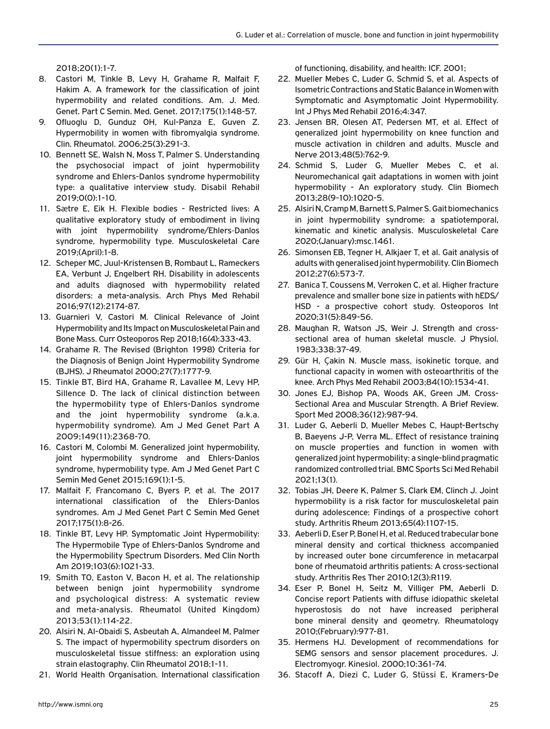2018;20(1):1-7.

- 8. Castori M, Tinkle B, Levy H, Grahame R, Malfait F, Hakim A. A framework for the classification of joint hypermobility and related conditions. Am. J. Med. Genet. Part C Semin. Med. Genet. 2017;175(1):148-57.
- 9. Ofluoglu D, Gunduz OH, Kul-Panza E, Guven Z. Hypermobility in women with fibromyalgia syndrome. Clin. Rheumatol. 2006;25(3):291-3.
- 10. Bennett SE, Walsh N, Moss T, Palmer S. Understanding the psychosocial impact of joint hypermobility syndrome and Ehlers-Danlos syndrome hypermobility type: a qualitative interview study. Disabil Rehabil 2019;0(0):1-10.
- 11. Sætre E, Eik H. Flexible bodies Restricted lives: A qualitative exploratory study of embodiment in living with joint hypermobility syndrome/Ehlers-Danlos syndrome, hypermobility type. Musculoskeletal Care 2019;(April):1-8.
- 12. Scheper MC, Juul-Kristensen B, Rombaut L, Rameckers EA, Verbunt J, Engelbert RH. Disability in adolescents and adults diagnosed with hypermobility related disorders: a meta-analysis. Arch Phys Med Rehabil 2016;97(12):2174-87.
- 13. Guarnieri V, Castori M. Clinical Relevance of Joint Hypermobility and Its Impact on Musculoskeletal Pain and Bone Mass. Curr Osteoporos Rep 2018;16(4):333-43.
- 14. Grahame R. The Revised (Brighton 1998) Criteria for the Diagnosis of Benign Joint Hypermobility Syndrome (BJHS). J Rheumatol 2000;27(7):1777-9.
- 15. Tinkle BT, Bird HA, Grahame R, Lavallee M, Levy HP, Sillence D. The lack of clinical distinction between the hypermobility type of Ehlers-Danlos syndrome and the joint hypermobility syndrome (a.k.a. hypermobility syndrome). Am J Med Genet Part A 2009;149(11):2368-70.
- 16. Castori M, Colombi M. Generalized joint hypermobility, joint hypermobility syndrome and Ehlers-Danlos syndrome, hypermobility type. Am J Med Genet Part C Semin Med Genet 2015;169(1):1-5.
- 17. Malfait F, Francomano C, Byers P, et al. The 2017 international classification of the Ehlers-Danlos syndromes. Am J Med Genet Part C Semin Med Genet 2017;175(1):8-26.
- 18. Tinkle BT, Levy HP. Symptomatic Joint Hypermobility: The Hypermobile Type of Ehlers-Danlos Syndrome and the Hypermobility Spectrum Disorders. Med Clin North Am 2019;103(6):1021-33.
- 19. Smith TO, Easton V, Bacon H, et al. The relationship between benign joint hypermobility syndrome and psychological distress: A systematic review and meta-analysis. Rheumatol (United Kingdom) 2013;53(1):114-22.
- 20. Alsiri N, Al-Obaidi S, Asbeutah A, Almandeel M, Palmer S. The impact of hypermobility spectrum disorders on musculoskeletal tissue stiffness: an exploration using strain elastography. Clin Rheumatol 2018;1-11.
- 21. World Health Organisation. International classification

of functioning, disability, and health: ICF. 2001;

- 22. Mueller Mebes C, Luder G, Schmid S, et al. Aspects of Isometric Contractions and Static Balance in Women with Symptomatic and Asymptomatic Joint Hypermobility. Int J Phys Med Rehabil 2016;4:347.
- 23. Jensen BR, Olesen AT, Pedersen MT, et al. Effect of generalized joint hypermobility on knee function and muscle activation in children and adults. Muscle and Nerve 2013;48(5):762-9.
- 24. Schmid S, Luder G, Mueller Mebes C, et al. Neuromechanical gait adaptations in women with joint hypermobility - An exploratory study. Clin Biomech 2013;28(9-10):1020-5.
- 25. Alsiri N, Cramp M, Barnett S, Palmer S. Gait biomechanics in joint hypermobility syndrome: a spatiotemporal, kinematic and kinetic analysis. Musculoskeletal Care 2020;(January):msc.1461.
- 26. Simonsen EB, Tegner H, Alkjaer T, et al. Gait analysis of adults with generalised joint hypermobility. Clin Biomech 2012;27(6):573-7.
- 27. Banica T, Coussens M, Verroken C, et al. Higher fracture prevalence and smaller bone size in patients with hEDS/ HSD - a prospective cohort study. Osteoporos Int 2020;31(5):849-56.
- 28. Maughan R, Watson JS, Weir J. Strength and crosssectional area of human skeletal muscle. J Physiol. 1983;338:37-49.
- 29. Gür H, Çakin N. Muscle mass, isokinetic torque, and functional capacity in women with osteoarthritis of the knee. Arch Phys Med Rehabil 2003;84(10):1534-41.
- 30. Jones EJ, Bishop PA, Woods AK, Green JM. Cross-Sectional Area and Muscular Strength. A Brief Review. Sport Med 2008;36(12):987-94.
- 31. Luder G, Aeberli D, Mueller Mebes C, Haupt-Bertschy B, Baeyens J-P, Verra ML. Effect of resistance training on muscle properties and function in women with generalized joint hypermobility: a single-blind pragmatic randomized controlled trial. BMC Sports Sci Med Rehabil 2021;13(1).
- 32. Tobias JH, Deere K, Palmer S, Clark EM, Clinch J. Joint hypermobility is a risk factor for musculoskeletal pain during adolescence: Findings of a prospective cohort study. Arthritis Rheum 2013;65(4):1107-15.
- 33. Aeberli D, Eser P, Bonel H, et al. Reduced trabecular bone mineral density and cortical thickness accompanied by increased outer bone circumference in metacarpal bone of rheumatoid arthritis patients: A cross-sectional study. Arthritis Res Ther 2010;12(3):R119.
- 34. Eser P, Bonel H, Seitz M, Villiger PM, Aeberli D. Concise report Patients with diffuse idiopathic skeletal hyperostosis do not have increased peripheral bone mineral density and geometry. Rheumatology 2010;(February):977-81.
- 35. Hermens HJ. Development of recommendations for SEMG sensors and sensor placement procedures. J. Electromyogr. Kinesiol. 2000;10:361-74.
- 36. Stacoff A, Diezi C, Luder G, Stüssi E, Kramers-De